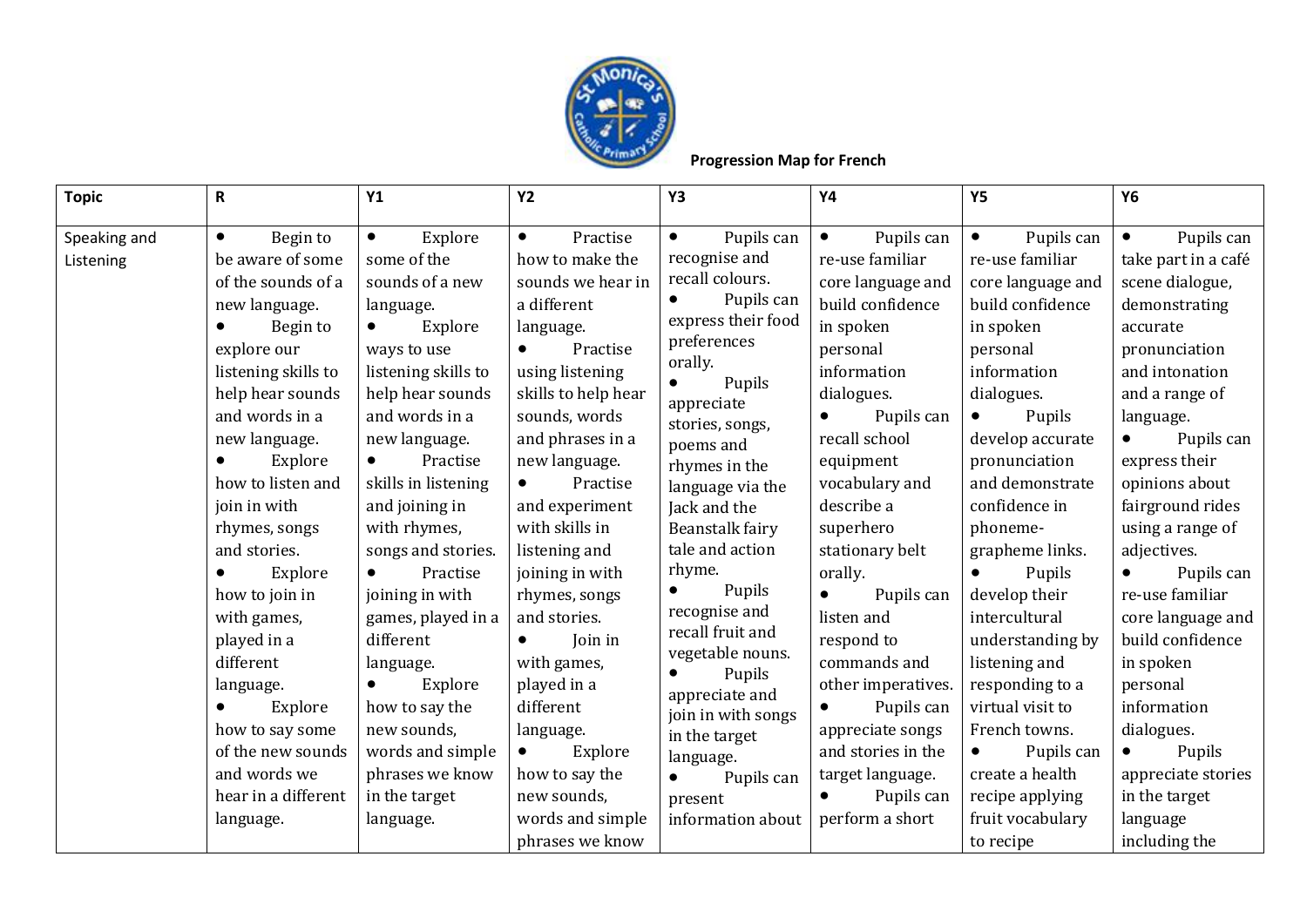

## **Progression Map for French**

| <b>Topic</b>              | R                                                                                                                                                                                                                                                                                                                                                  | Y1                                                                                                                                                                                                                                                                                                                                                                                           | <b>Y2</b>                                                                                                                                                                                                                                                                                                                                                                      | <b>Y3</b>                                                                                                                                                                                                                                                                                                                                                                                                  | <b>Y4</b>                                                                                                                                                                                                                                                                                                                               | <b>Y5</b>                                                                                                                                                                                                                                                                                                                                                              | <b>Y6</b>                                                                                                                                                                                                                                                                                                                                                       |
|---------------------------|----------------------------------------------------------------------------------------------------------------------------------------------------------------------------------------------------------------------------------------------------------------------------------------------------------------------------------------------------|----------------------------------------------------------------------------------------------------------------------------------------------------------------------------------------------------------------------------------------------------------------------------------------------------------------------------------------------------------------------------------------------|--------------------------------------------------------------------------------------------------------------------------------------------------------------------------------------------------------------------------------------------------------------------------------------------------------------------------------------------------------------------------------|------------------------------------------------------------------------------------------------------------------------------------------------------------------------------------------------------------------------------------------------------------------------------------------------------------------------------------------------------------------------------------------------------------|-----------------------------------------------------------------------------------------------------------------------------------------------------------------------------------------------------------------------------------------------------------------------------------------------------------------------------------------|------------------------------------------------------------------------------------------------------------------------------------------------------------------------------------------------------------------------------------------------------------------------------------------------------------------------------------------------------------------------|-----------------------------------------------------------------------------------------------------------------------------------------------------------------------------------------------------------------------------------------------------------------------------------------------------------------------------------------------------------------|
| Speaking and<br>Listening | Begin to<br>$\bullet$<br>be aware of some<br>of the sounds of a<br>new language.<br>Begin to<br>explore our<br>listening skills to<br>help hear sounds<br>and words in a<br>new language.<br>Explore<br>how to listen and<br>join in with<br>rhymes, songs<br>and stories.<br>Explore<br>how to join in<br>with games,<br>played in a<br>different | Explore<br>$\bullet$<br>some of the<br>sounds of a new<br>language.<br>Explore<br>$\bullet$<br>ways to use<br>listening skills to<br>help hear sounds<br>and words in a<br>new language.<br>Practise<br>$\bullet$<br>skills in listening<br>and joining in<br>with rhymes,<br>songs and stories.<br>Practise<br>$\bullet$<br>joining in with<br>games, played in a<br>different<br>language. | Practise<br>$\bullet$<br>how to make the<br>sounds we hear in<br>a different<br>language.<br>Practise<br>$\bullet$<br>using listening<br>skills to help hear<br>sounds, words<br>and phrases in a<br>new language.<br>Practise<br>$\bullet$<br>and experiment<br>with skills in<br>listening and<br>joining in with<br>rhymes, songs<br>and stories.<br>Join in<br>with games, | Pupils can<br>$\bullet$<br>recognise and<br>recall colours.<br>Pupils can<br>express their food<br>preferences<br>orally.<br>Pupils<br>$\bullet$<br>appreciate<br>stories, songs,<br>poems and<br>rhymes in the<br>language via the<br>Jack and the<br>Beanstalk fairy<br>tale and action<br>rhyme.<br>Pupils<br>$\bullet$<br>recognise and<br>recall fruit and<br>vegetable nouns.<br>Pupils<br>$\bullet$ | Pupils can<br>$\bullet$<br>re-use familiar<br>core language and<br>build confidence<br>in spoken<br>personal<br>information<br>dialogues.<br>Pupils can<br>recall school<br>equipment<br>vocabulary and<br>describe a<br>superhero<br>stationary belt<br>orally.<br>$\bullet$<br>Pupils can<br>listen and<br>respond to<br>commands and | Pupils can<br>$\bullet$<br>re-use familiar<br>core language and<br>build confidence<br>in spoken<br>personal<br>information<br>dialogues.<br>Pupils<br>$\bullet$<br>develop accurate<br>pronunciation<br>and demonstrate<br>confidence in<br>phoneme-<br>grapheme links.<br>Pupils<br>$\bullet$<br>develop their<br>intercultural<br>understanding by<br>listening and | Pupils can<br>$\bullet$<br>take part in a café<br>scene dialogue,<br>demonstrating<br>accurate<br>pronunciation<br>and intonation<br>and a range of<br>language.<br>Pupils can<br>express their<br>opinions about<br>fairground rides<br>using a range of<br>adjectives.<br>Pupils can<br>re-use familiar<br>core language and<br>build confidence<br>in spoken |
|                           | language.<br>Explore<br>how to say some<br>of the new sounds                                                                                                                                                                                                                                                                                       | Explore<br>how to say the<br>new sounds,<br>words and simple                                                                                                                                                                                                                                                                                                                                 | played in a<br>different<br>language.<br>Explore                                                                                                                                                                                                                                                                                                                               | appreciate and<br>join in with songs<br>in the target<br>language.                                                                                                                                                                                                                                                                                                                                         | other imperatives.<br>Pupils can<br>$\bullet$<br>appreciate songs<br>and stories in the                                                                                                                                                                                                                                                 | responding to a<br>virtual visit to<br>French towns.<br>Pupils can                                                                                                                                                                                                                                                                                                     | personal<br>information<br>dialogues.<br>Pupils                                                                                                                                                                                                                                                                                                                 |
|                           | and words we<br>hear in a different<br>language.                                                                                                                                                                                                                                                                                                   | phrases we know<br>in the target<br>language.                                                                                                                                                                                                                                                                                                                                                | how to say the<br>new sounds,<br>words and simple<br>phrases we know                                                                                                                                                                                                                                                                                                           | Pupils can<br>$\bullet$<br>present<br>information about                                                                                                                                                                                                                                                                                                                                                    | target language.<br>Pupils can<br>$\bullet$<br>perform a short                                                                                                                                                                                                                                                                          | create a health<br>recipe applying<br>fruit vocabulary<br>to recipe                                                                                                                                                                                                                                                                                                    | appreciate stories<br>in the target<br>language<br>including the                                                                                                                                                                                                                                                                                                |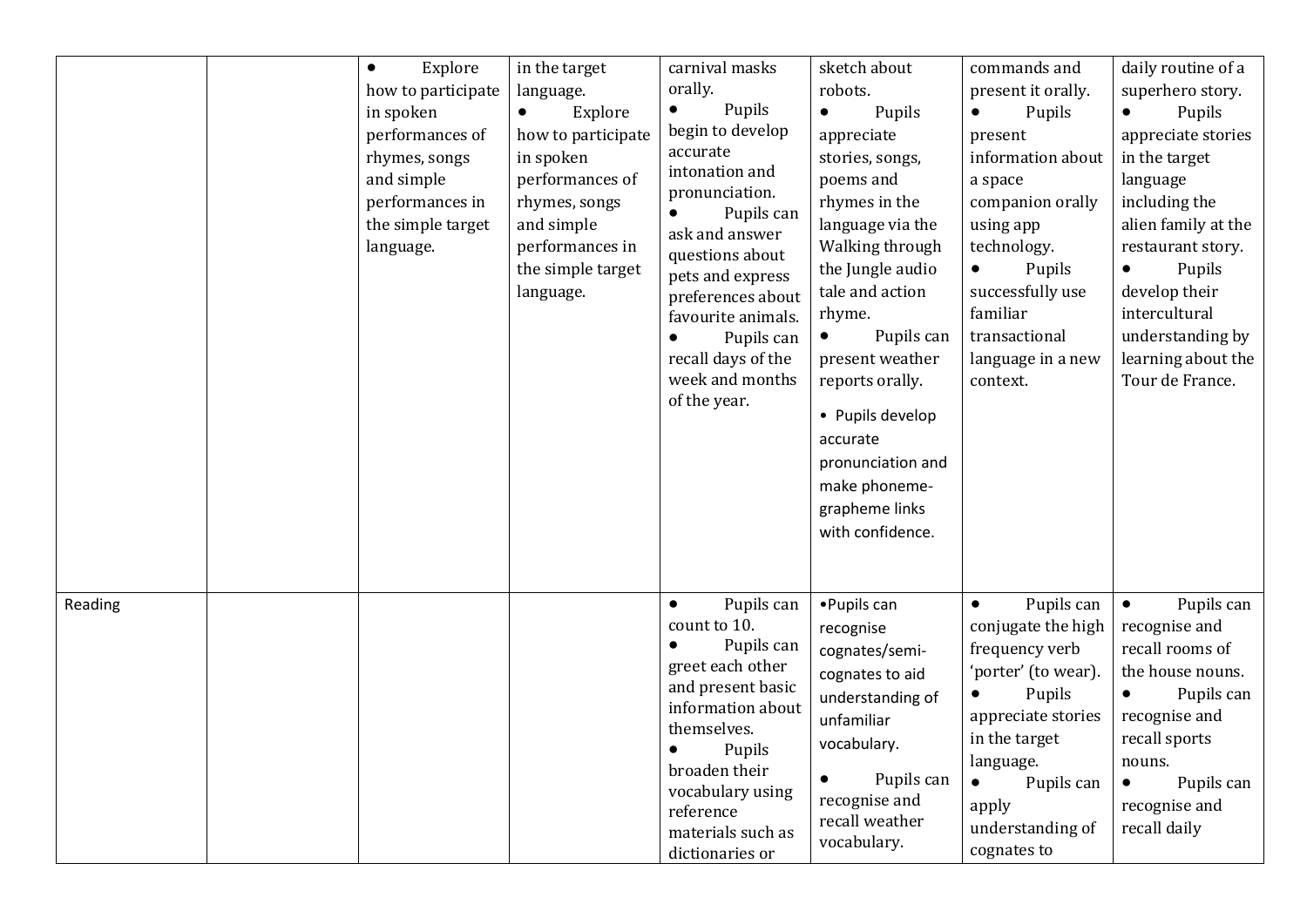|         | Explore<br>$\bullet$<br>how to participate<br>in spoken<br>performances of<br>rhymes, songs<br>and simple<br>performances in<br>the simple target<br>language. | in the target<br>language.<br>Explore<br>$\bullet$<br>how to participate<br>in spoken<br>performances of<br>rhymes, songs<br>and simple<br>performances in<br>the simple target<br>language. | carnival masks<br>orally.<br>Pupils<br>$\bullet$<br>begin to develop<br>accurate<br>intonation and<br>pronunciation.<br>Pupils can<br>ask and answer<br>questions about<br>pets and express<br>preferences about<br>favourite animals.<br>Pupils can<br>recall days of the<br>week and months<br>of the year. | sketch about<br>robots.<br>Pupils<br>$\bullet$<br>appreciate<br>stories, songs,<br>poems and<br>rhymes in the<br>language via the<br>Walking through<br>the Jungle audio<br>tale and action<br>rhyme.<br>Pupils can<br>$\bullet$<br>present weather<br>reports orally.<br>• Pupils develop<br>accurate<br>pronunciation and<br>make phoneme-<br>grapheme links<br>with confidence. | commands and<br>present it orally.<br>Pupils<br>$\bullet$<br>present<br>information about<br>a space<br>companion orally<br>using app<br>technology.<br>Pupils<br>$\bullet$<br>successfully use<br>familiar<br>transactional<br>language in a new<br>context. | daily routine of a<br>superhero story.<br>Pupils<br>$\bullet$<br>appreciate stories<br>in the target<br>language<br>including the<br>alien family at the<br>restaurant story.<br>Pupils<br>$\bullet$<br>develop their<br>intercultural<br>understanding by<br>learning about the<br>Tour de France. |
|---------|----------------------------------------------------------------------------------------------------------------------------------------------------------------|----------------------------------------------------------------------------------------------------------------------------------------------------------------------------------------------|---------------------------------------------------------------------------------------------------------------------------------------------------------------------------------------------------------------------------------------------------------------------------------------------------------------|------------------------------------------------------------------------------------------------------------------------------------------------------------------------------------------------------------------------------------------------------------------------------------------------------------------------------------------------------------------------------------|---------------------------------------------------------------------------------------------------------------------------------------------------------------------------------------------------------------------------------------------------------------|-----------------------------------------------------------------------------------------------------------------------------------------------------------------------------------------------------------------------------------------------------------------------------------------------------|
| Reading |                                                                                                                                                                |                                                                                                                                                                                              | Pupils can<br>$\bullet$<br>count to 10.<br>Pupils can<br>greet each other<br>and present basic<br>information about<br>themselves.<br>Pupils<br>broaden their<br>vocabulary using<br>reference<br>materials such as<br>dictionaries or                                                                        | • Pupils can<br>recognise<br>cognates/semi-<br>cognates to aid<br>understanding of<br>unfamiliar<br>vocabulary.<br>Pupils can<br>$\bullet$<br>recognise and<br>recall weather<br>vocabulary.                                                                                                                                                                                       | Pupils can<br>$\bullet$<br>conjugate the high<br>frequency verb<br>'porter' (to wear).<br>Pupils<br>appreciate stories<br>in the target<br>language.<br>$\bullet$<br>Pupils can<br>apply<br>understanding of<br>cognates to                                   | Pupils can<br>$\bullet$<br>recognise and<br>recall rooms of<br>the house nouns.<br>Pupils can<br>$\bullet$<br>recognise and<br>recall sports<br>nouns.<br>Pupils can<br>$\bullet$<br>recognise and<br>recall daily                                                                                  |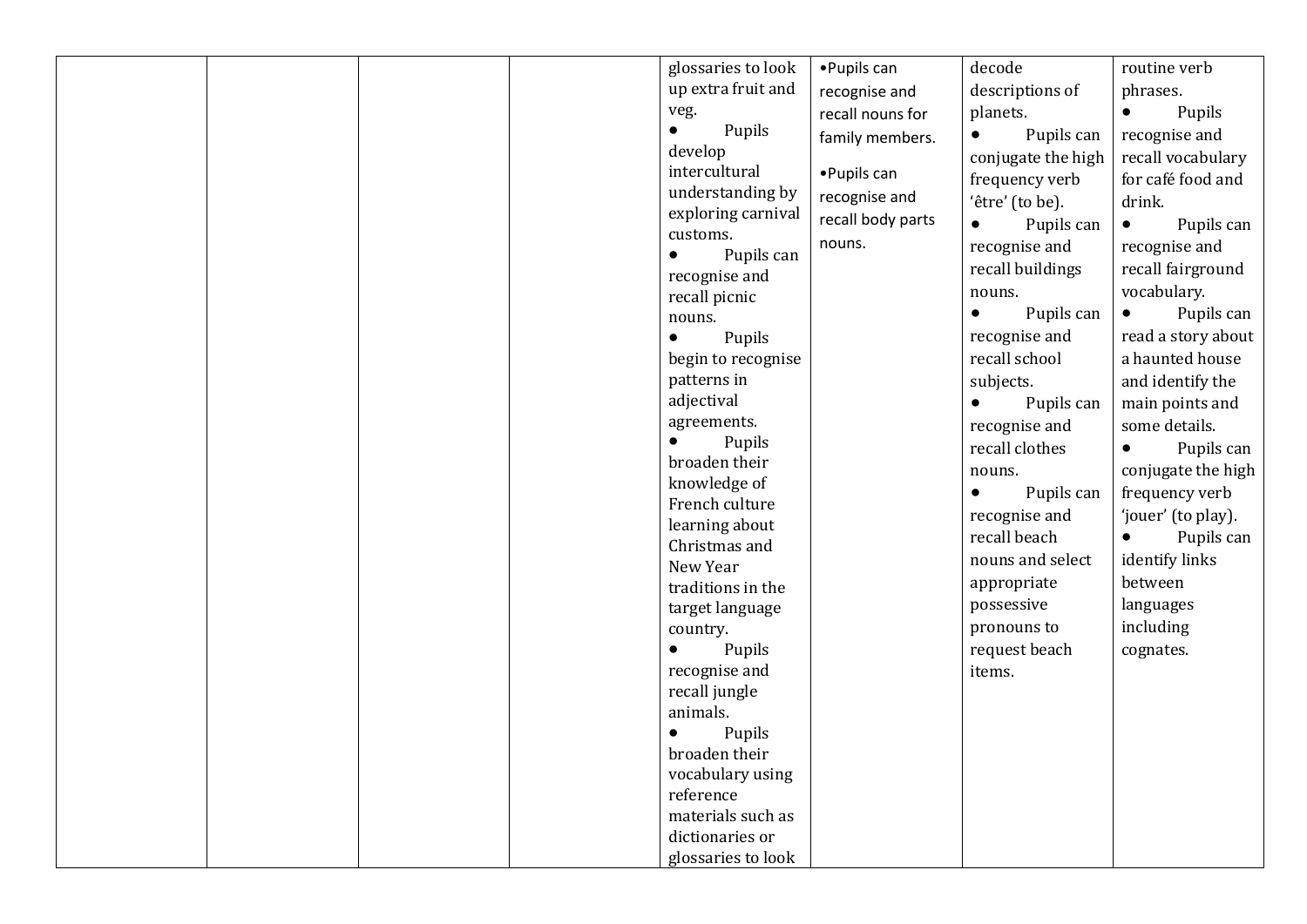| glossaries to look        | • Pupils can      | decode                  | routine verb            |
|---------------------------|-------------------|-------------------------|-------------------------|
| up extra fruit and        | recognise and     | descriptions of         | phrases.                |
| veg.                      | recall nouns for  | planets.                | Pupils<br>$\bullet$     |
| Pupils<br>$\bullet$       | family members.   | Pupils can<br>$\bullet$ | recognise and           |
| develop                   |                   | conjugate the high      | recall vocabulary       |
| intercultural             | • Pupils can      | frequency verb          | for café food and       |
| understanding by          | recognise and     | 'être' (to be).         | drink.                  |
| exploring carnival        | recall body parts | Pupils can<br>$\bullet$ | Pupils can<br>$\bullet$ |
| customs.                  | nouns.            | recognise and           | recognise and           |
| Pupils can<br>$\bullet$   |                   | recall buildings        | recall fairground       |
| recognise and             |                   | nouns.                  | vocabulary.             |
| recall picnic             |                   | Pupils can<br>$\bullet$ | Pupils can<br>$\bullet$ |
| nouns.                    |                   | recognise and           | read a story about      |
| Pupils<br>$\bullet$       |                   | recall school           | a haunted house         |
| begin to recognise        |                   |                         |                         |
| patterns in<br>adjectival |                   | subjects.               | and identify the        |
| agreements.               |                   | Pupils can              | main points and         |
| Pupils<br>$\bullet$       |                   | recognise and           | some details.           |
| broaden their             |                   | recall clothes          | Pupils can<br>$\bullet$ |
| knowledge of              |                   | nouns.                  | conjugate the high      |
| French culture            |                   | Pupils can<br>$\bullet$ | frequency verb          |
| learning about            |                   | recognise and           | 'jouer' (to play).      |
| Christmas and             |                   | recall beach            | Pupils can<br>$\bullet$ |
| New Year                  |                   | nouns and select        | identify links          |
| traditions in the         |                   | appropriate             | between                 |
| target language           |                   | possessive              | languages               |
| country.                  |                   | pronouns to             | including               |
| Pupils<br>$\bullet$       |                   | request beach           | cognates.               |
| recognise and             |                   | items.                  |                         |
| recall jungle             |                   |                         |                         |
| animals.                  |                   |                         |                         |
| Pupils<br>$\bullet$       |                   |                         |                         |
| broaden their             |                   |                         |                         |
| vocabulary using          |                   |                         |                         |
| reference                 |                   |                         |                         |
| materials such as         |                   |                         |                         |
| dictionaries or           |                   |                         |                         |
| glossaries to look        |                   |                         |                         |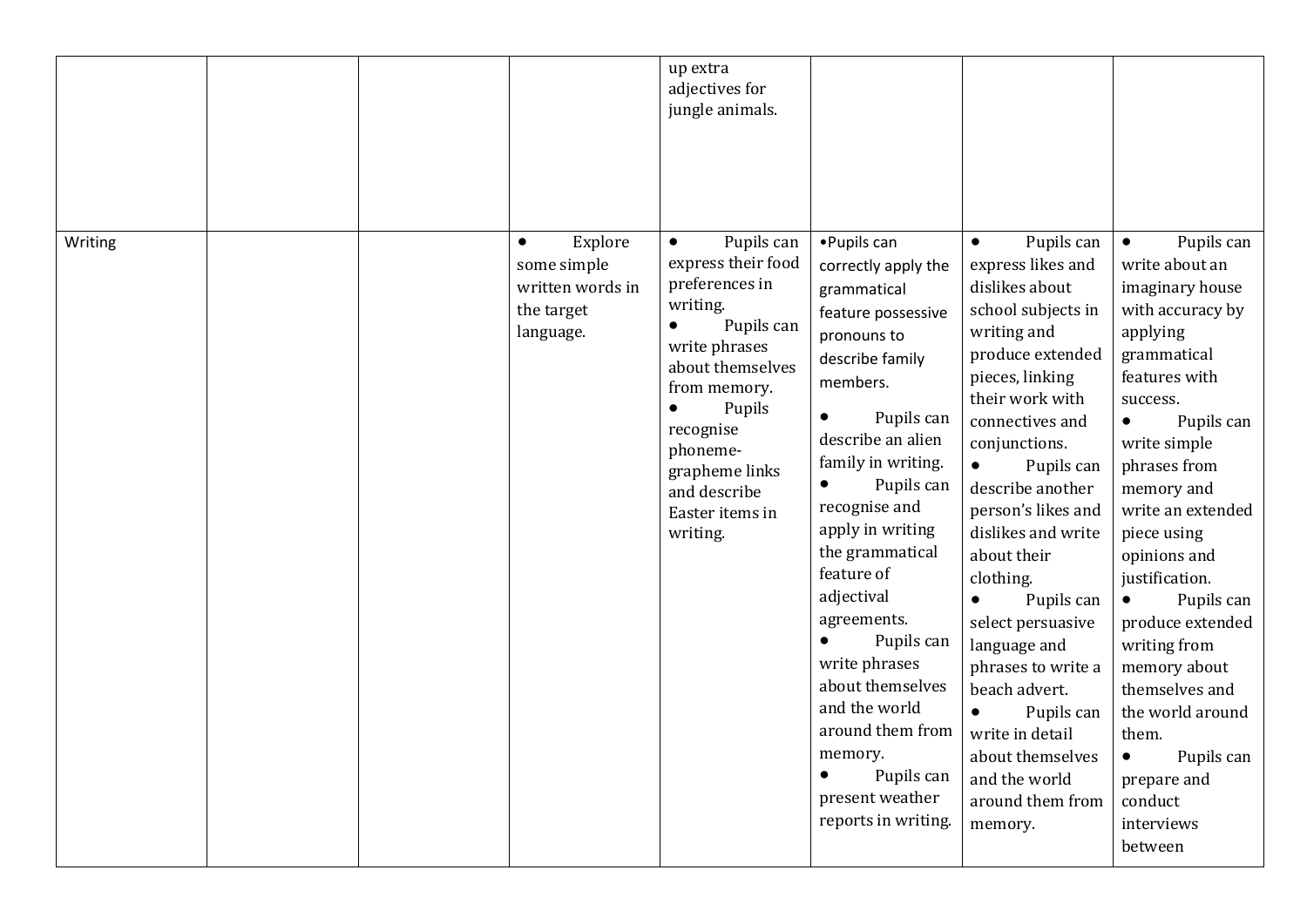|         |  |                                                                                    | up extra<br>adjectives for<br>jungle animals.                                                                                                                                                                                                                                |                                                                                                                                                                                                                                                                                                                                                                                                                                                                          |                                                                                                                                                                                                                                                                                                                                                                                                                                                                                                                                                   |                                                                                                                                                                                                                                                                                                                                                                                                                                                                                                     |
|---------|--|------------------------------------------------------------------------------------|------------------------------------------------------------------------------------------------------------------------------------------------------------------------------------------------------------------------------------------------------------------------------|--------------------------------------------------------------------------------------------------------------------------------------------------------------------------------------------------------------------------------------------------------------------------------------------------------------------------------------------------------------------------------------------------------------------------------------------------------------------------|---------------------------------------------------------------------------------------------------------------------------------------------------------------------------------------------------------------------------------------------------------------------------------------------------------------------------------------------------------------------------------------------------------------------------------------------------------------------------------------------------------------------------------------------------|-----------------------------------------------------------------------------------------------------------------------------------------------------------------------------------------------------------------------------------------------------------------------------------------------------------------------------------------------------------------------------------------------------------------------------------------------------------------------------------------------------|
| Writing |  | Explore<br>$\bullet$<br>some simple<br>written words in<br>the target<br>language. | Pupils can<br>$\bullet$<br>express their food<br>preferences in<br>writing.<br>Pupils can<br>$\bullet$<br>write phrases<br>about themselves<br>from memory.<br>Pupils<br>$\bullet$<br>recognise<br>phoneme-<br>grapheme links<br>and describe<br>Easter items in<br>writing. | • Pupils can<br>correctly apply the<br>grammatical<br>feature possessive<br>pronouns to<br>describe family<br>members.<br>Pupils can<br>describe an alien<br>family in writing.<br>Pupils can<br>$\bullet$<br>recognise and<br>apply in writing<br>the grammatical<br>feature of<br>adjectival<br>agreements.<br>Pupils can<br>write phrases<br>about themselves<br>and the world<br>around them from<br>memory.<br>Pupils can<br>present weather<br>reports in writing. | Pupils can<br>$\bullet$<br>express likes and<br>dislikes about<br>school subjects in<br>writing and<br>produce extended<br>pieces, linking<br>their work with<br>connectives and<br>conjunctions.<br>Pupils can<br>$\bullet$<br>describe another<br>person's likes and<br>dislikes and write<br>about their<br>clothing.<br>Pupils can<br>$\bullet$<br>select persuasive<br>language and<br>phrases to write a<br>beach advert.<br>Pupils can<br>$\bullet$<br>write in detail<br>about themselves<br>and the world<br>around them from<br>memory. | Pupils can<br>$\bullet$<br>write about an<br>imaginary house<br>with accuracy by<br>applying<br>grammatical<br>features with<br>success.<br>Pupils can<br>$\bullet$<br>write simple<br>phrases from<br>memory and<br>write an extended<br>piece using<br>opinions and<br>justification.<br>Pupils can<br>$\bullet$<br>produce extended<br>writing from<br>memory about<br>themselves and<br>the world around<br>them.<br>Pupils can<br>$\bullet$<br>prepare and<br>conduct<br>interviews<br>between |